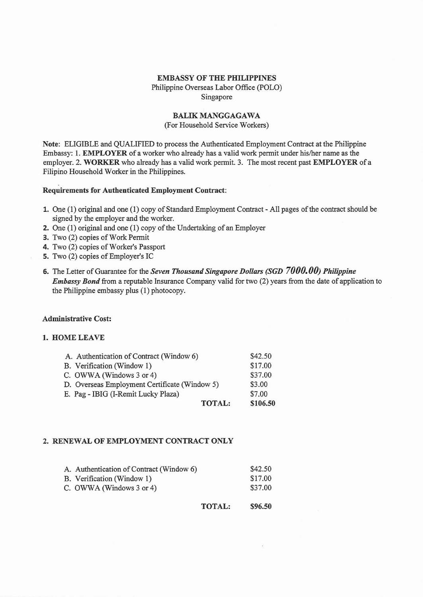#### EMBASSY OF THE PHILIPPINES

Philippine Overseas Labor Office (POLO) Singapore

# BALIK MANGGAGAWA

(For Household Service Workers)

Note: ELIGIBLE and QUALIFIED to process the Authenticated Employment Contract at the Philippine Embassy: I. EMPLOYER of a worker who already has a valid work permit under hislher name as the employer. 2. WORKER who already has a valid work permit. 3. The most recent past EMPLOYER of a Filipino Household Worker in the Philippines.

### Requirements for Authenticated Employment Contract:

- 1. One (1) original and one (1) copy of Standard Employment Contract All pages of the contract should be signed by the employer and the worker.
- 2. One  $(1)$  original and one  $(1)$  copy of the Undertaking of an Employer
- 3. Two (2) copies of Work Permit
- 4. Two (2) copies of Worker's Passport
- s. Two (2) copies of Employer's IC
- 6. The Letter of Guarantee for the *Seven Thousand Singapore Dollars (SGD 7000.00) Philippine Embassy Bond* from a reputable Insurance Company valid for two (2) years from the date of application to the Philippine embassy plus (I) photocopy.

#### Administrative Cost:

### 1. HOME LEAVE

| \$42.50  |
|----------|
| \$17.00  |
| \$37.00  |
| \$3.00   |
| \$7.00   |
| \$106.50 |
|          |

## 2. RENEWAL OF EMPLOYMENT CONTRACT ONLY

| A. Authentication of Contract (Window 6) | \$42.50 |
|------------------------------------------|---------|
| B. Verification (Window 1)               | \$17.00 |
| C. OWWA (Windows 3 or 4)                 | \$37.00 |

TOTAL: \$96.50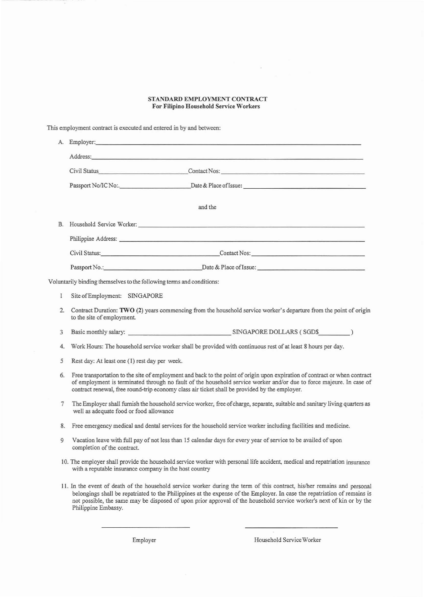#### STANDARD EMPLOYMENT CONTRACT For Filipino Household Service workers

This employment contract is executed and entered in by and between:

|  |                                                                       | Employer: <u>and the contract of the contract of the contract of the contract of the contract of the contract of the contract of the contract of the contract of the contract of the contract of the contract of the contract of</u> |  |
|--|-----------------------------------------------------------------------|--------------------------------------------------------------------------------------------------------------------------------------------------------------------------------------------------------------------------------------|--|
|  |                                                                       |                                                                                                                                                                                                                                      |  |
|  |                                                                       |                                                                                                                                                                                                                                      |  |
|  |                                                                       |                                                                                                                                                                                                                                      |  |
|  |                                                                       | and the                                                                                                                                                                                                                              |  |
|  |                                                                       |                                                                                                                                                                                                                                      |  |
|  |                                                                       | Philippine Address: Note and the second state of the second state of the second state of the second state of the second state of the second state of the second state of the second state of the second state of the second st       |  |
|  |                                                                       | Contact Nos: Civil Status: Contact Nos: Contact Nos:                                                                                                                                                                                 |  |
|  |                                                                       | Passport No.: Date & Place of Issue:                                                                                                                                                                                                 |  |
|  | Voluntarily binding themselves to the following terms and conditions: |                                                                                                                                                                                                                                      |  |

1 Site of Employment: SINGAPORE

- 2. Contract Duration: TWO (2) years commencing from the household service worker's departure from the point of origin to the site of employment
- 3 Basic monthly salary: SINGAPORE DOLLARS ( SGD\$. \_
- 4. Work Hours: The household service worker shall be provided with continuous rest of at least 8 hours per day.
- 5 Rest day: At least one (1) rest day per week.
- 6. Free transportation to the site of employment and back to the point of origin upon expiration of contract or when contract of employment is terminated through no fault of the household service worker and/or due to force majeure. In case of contract renewal, free round-trip economy class air ticket shall be provided by the employer.
- 7 The Employer shall furnish the household service worker, free of charge, separate, suitable and sanitary living quarters as well as adequate food or food allowance
- 8. Free emergency medical and dental services for the household service worker including facilities and medicine.
- 9 Vacation leave with full pay of not less than 15 calendar days for every year of service to be availed of upon completion of the contract.
- 10. The employer shall provide the household service worker with personal life accident, medical and repatriation insurance with a reputable insurance company in the host country
- 11. In the event of death of the household service worker during the term of this contract, his/her remains and personal belongings shall be repatriated to the Philippines at the expense of the Employer. In case the repatriation of remains is not possible, the same may be disposed of upon prior approval of the hous ehold service worker's next of kin or by the Philippine Embassy.

Employer Household ServiceWorker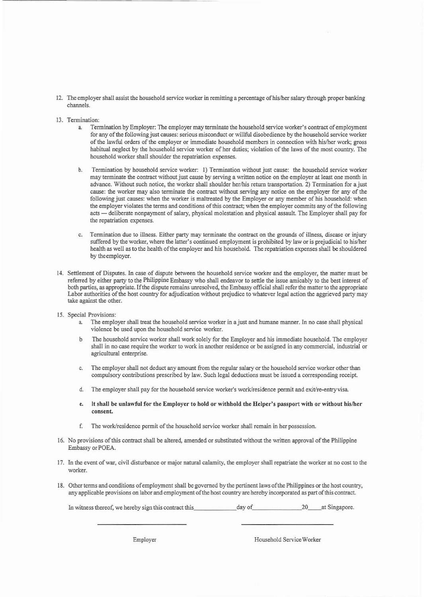- 12. The employer shall assist the household service worker in remitting a percentage of his/her salary through proper banking channels.
- 13. Termination:
	- a. Termination by Employer: The employer may terminate the household service worker's contract of employment for any of the following just causes: serious misconduct or willful disobedience by the household service worker of the lawful orders of the employer or immediate household members in connection with his/her work; gross habitual neglect by the household service worker of her duties; violation of the laws of the most country. The household worker shall shoulder the repatriation expenses.
	- b. Termination by household service worker: I) Termination without just cause: the household service worker may terminate the contract without just cause by serving a written notice on the employer at least one month in advance. Without such notice, the worker shall shoulder herlhis return transportation. 2) Termination for a just cause: the worker may also terminate the contract without serving any notice on the employer for any of the following just causes: when the worker is maltreated by the Employer or any member of his household: when the employer violates the terms and conditions of this contract; when the employer commits any of the following acts - deliberate nonpayment of salary, physical molestation and physical assault. The Employer shall pay for the repatriation expenses.
	- c. Termination due to illness. Either party may terminate the contract on the grounds of illness, disease or injury suffered by the worker, where the latter's continued employment is prohibited by law or is prejudicial to his/her health as well as to the health of the employer and his household. The repatriation expenses shall be shouldered by theemployer.
- 14. Settlement of Disputes. In case of dispure between the household service worker and the employer, the matter must be referred by either party to the Philippine Embassy who shall endeavor to settle the issue amicably to the best interest of both parties, as appropriate. If the dispute remains unresolved, the Embassy official shall refer the matter to the appropriate Labor authorities of the host country for adjudication without prejudice to whatever legal action the aggrieved party may take against the other.
- 15. Special Provisions:
	- The employer shall treat the household service worker in a just and humane manner. In no case shall physical violence be used upon the household service worker.
	- b The household service worker shall work solely for the Employer and his immediate household. The employer shall in no case require the worker to work in another residence or beassigned in any commercial, industrial or agricultural enterprise.
	- c. The employer shall not deduct any amount from the regular salary or the household service worker other than compulsory contributions prescribed by law. Such legal deductions must be issued a corresponding receipt.
	- d. The employer shall pay for the household service worker's work/residence permit and exit/re-entry visa.
	- e. It shall be unlawful for the Employer to hold or withhold the Helper's passport with or without his/her consent.
	- f. The work/residence permit of the household service worker shall remain in her possession.
- 16. No provisions of this contract shall be altered, amended or substituted without the written approval of the Philippine Embassy or POEA.
- 17. In the event of war, civil disturbance or major natural calamity, the employer shall repatriate the worker at no cost to the worker.
- 18. Oilier terms and conditions ofemployment shall begoverned by the pertinent laws ofthe Philippines or the host country, any applicable provisions on labor and employment ofthe host country are hereby incorporated as part of this contract

In witness thereof, we hereby sign this contract this, day of 20\_\_at Singapore.

Employer Household ServiceWorker